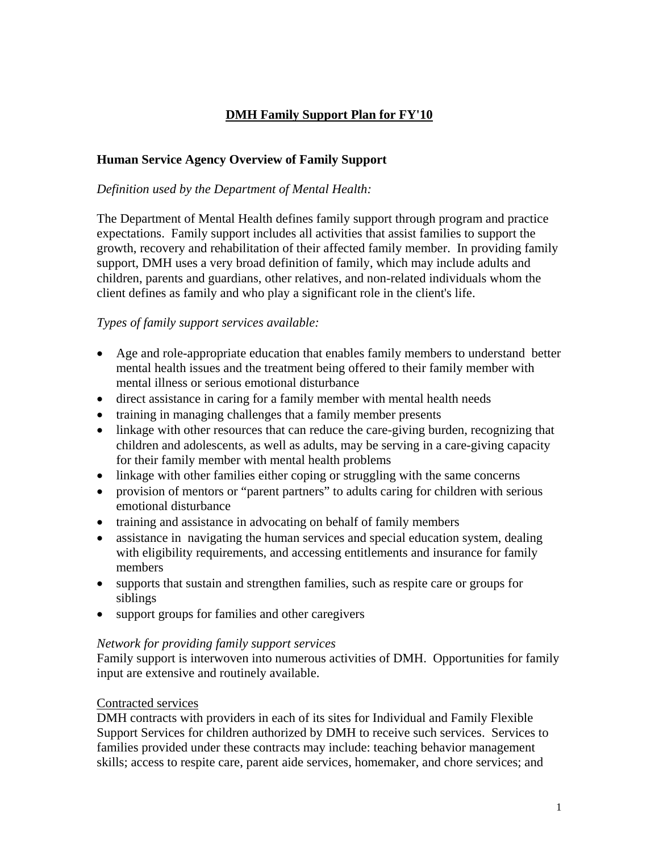# **DMH Family Support Plan for FY'10**

# **Human Service Agency Overview of Family Support**

#### *Definition used by the Department of Mental Health:*

The Department of Mental Health defines family support through program and practice expectations. Family support includes all activities that assist families to support the growth, recovery and rehabilitation of their affected family member. In providing family support, DMH uses a very broad definition of family, which may include adults and children, parents and guardians, other relatives, and non-related individuals whom the client defines as family and who play a significant role in the client's life.

#### *Types of family support services available:*

- Age and role-appropriate education that enables family members to understand better mental health issues and the treatment being offered to their family member with mental illness or serious emotional disturbance
- direct assistance in caring for a family member with mental health needs
- training in managing challenges that a family member presents
- linkage with other resources that can reduce the care-giving burden, recognizing that children and adolescents, as well as adults, may be serving in a care-giving capacity for their family member with mental health problems
- linkage with other families either coping or struggling with the same concerns
- provision of mentors or "parent partners" to adults caring for children with serious emotional disturbance
- training and assistance in advocating on behalf of family members
- assistance in navigating the human services and special education system, dealing with eligibility requirements, and accessing entitlements and insurance for family members
- supports that sustain and strengthen families, such as respite care or groups for siblings
- support groups for families and other caregivers

#### *Network for providing family support services*

Family support is interwoven into numerous activities of DMH. Opportunities for family input are extensive and routinely available.

#### Contracted services

DMH contracts with providers in each of its sites for Individual and Family Flexible Support Services for children authorized by DMH to receive such services. Services to families provided under these contracts may include: teaching behavior management skills; access to respite care, parent aide services, homemaker, and chore services; and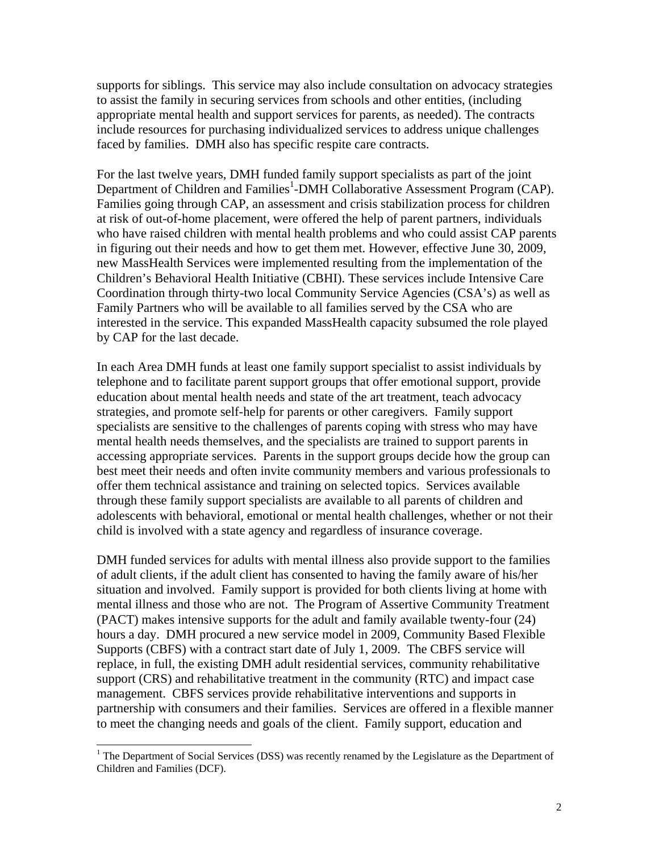supports for siblings. This service may also include consultation on advocacy strategies to assist the family in securing services from schools and other entities, (including appropriate mental health and support services for parents, as needed). The contracts include resources for purchasing individualized services to address unique challenges faced by families. DMH also has specific respite care contracts.

For the last twelve years, DMH funded family support specialists as part of the joint Department of Children and Families<sup>[1](#page-1-0)</sup>-DMH Collaborative Assessment Program (CAP). Families going through CAP, an assessment and crisis stabilization process for children at risk of out-of-home placement, were offered the help of parent partners, individuals who have raised children with mental health problems and who could assist CAP parents in figuring out their needs and how to get them met. However, effective June 30, 2009, new MassHealth Services were implemented resulting from the implementation of the Children's Behavioral Health Initiative (CBHI). These services include Intensive Care Coordination through thirty-two local Community Service Agencies (CSA's) as well as Family Partners who will be available to all families served by the CSA who are interested in the service. This expanded MassHealth capacity subsumed the role played by CAP for the last decade.

In each Area DMH funds at least one family support specialist to assist individuals by telephone and to facilitate parent support groups that offer emotional support, provide education about mental health needs and state of the art treatment, teach advocacy strategies, and promote self-help for parents or other caregivers. Family support specialists are sensitive to the challenges of parents coping with stress who may have mental health needs themselves, and the specialists are trained to support parents in accessing appropriate services. Parents in the support groups decide how the group can best meet their needs and often invite community members and various professionals to offer them technical assistance and training on selected topics. Services available through these family support specialists are available to all parents of children and adolescents with behavioral, emotional or mental health challenges, whether or not their child is involved with a state agency and regardless of insurance coverage.

DMH funded services for adults with mental illness also provide support to the families of adult clients, if the adult client has consented to having the family aware of his/her situation and involved. Family support is provided for both clients living at home with mental illness and those who are not. The Program of Assertive Community Treatment (PACT) makes intensive supports for the adult and family available twenty-four (24) hours a day. DMH procured a new service model in 2009, Community Based Flexible Supports (CBFS) with a contract start date of July 1, 2009. The CBFS service will replace, in full, the existing DMH adult residential services, community rehabilitative support (CRS) and rehabilitative treatment in the community (RTC) and impact case management. CBFS services provide rehabilitative interventions and supports in partnership with consumers and their families. Services are offered in a flexible manner to meet the changing needs and goals of the client. Family support, education and

<span id="page-1-0"></span> $\frac{1}{1}$ <sup>1</sup> The Department of Social Services (DSS) was recently renamed by the Legislature as the Department of Children and Families (DCF).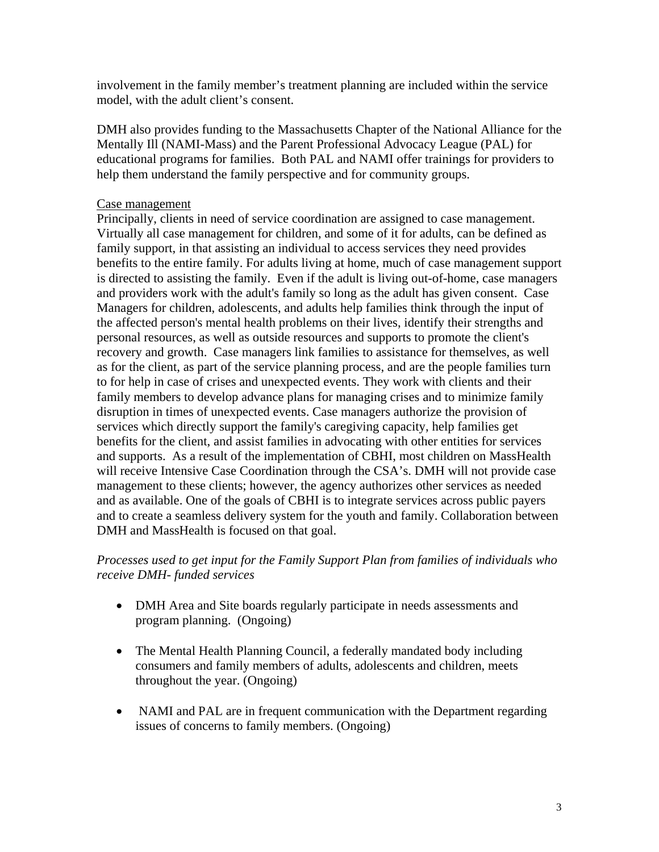involvement in the family member's treatment planning are included within the service model, with the adult client's consent.

DMH also provides funding to the Massachusetts Chapter of the National Alliance for the Mentally Ill (NAMI-Mass) and the Parent Professional Advocacy League (PAL) for educational programs for families. Both PAL and NAMI offer trainings for providers to help them understand the family perspective and for community groups.

#### Case management

Principally, clients in need of service coordination are assigned to case management. Virtually all case management for children, and some of it for adults, can be defined as family support, in that assisting an individual to access services they need provides benefits to the entire family. For adults living at home, much of case management support is directed to assisting the family. Even if the adult is living out-of-home, case managers and providers work with the adult's family so long as the adult has given consent. Case Managers for children, adolescents, and adults help families think through the input of the affected person's mental health problems on their lives, identify their strengths and personal resources, as well as outside resources and supports to promote the client's recovery and growth. Case managers link families to assistance for themselves, as well as for the client, as part of the service planning process, and are the people families turn to for help in case of crises and unexpected events. They work with clients and their family members to develop advance plans for managing crises and to minimize family disruption in times of unexpected events. Case managers authorize the provision of services which directly support the family's caregiving capacity, help families get benefits for the client, and assist families in advocating with other entities for services and supports. As a result of the implementation of CBHI, most children on MassHealth will receive Intensive Case Coordination through the CSA's. DMH will not provide case management to these clients; however, the agency authorizes other services as needed and as available. One of the goals of CBHI is to integrate services across public payers and to create a seamless delivery system for the youth and family. Collaboration between DMH and MassHealth is focused on that goal.

#### *Processes used to get input for the Family Support Plan from families of individuals who receive DMH- funded services*

- DMH Area and Site boards regularly participate in needs assessments and program planning. (Ongoing)
- The Mental Health Planning Council, a federally mandated body including consumers and family members of adults, adolescents and children, meets throughout the year. (Ongoing)
- NAMI and PAL are in frequent communication with the Department regarding issues of concerns to family members. (Ongoing)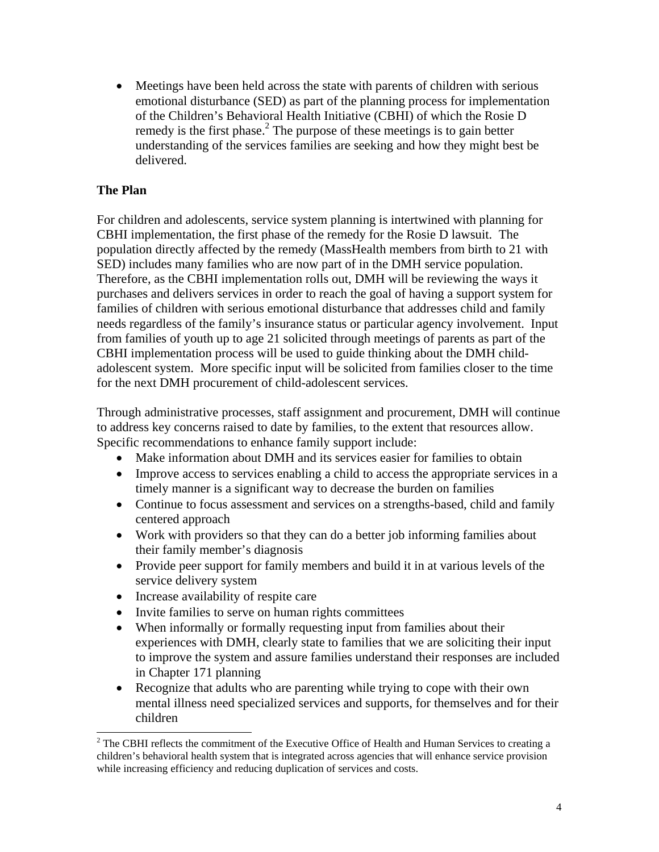• Meetings have been held across the state with parents of children with serious emotional disturbance (SED) as part of the planning process for implementation of the Children's Behavioral Health Initiative (CBHI) of which the Rosie D remedy is the first phase.<sup>2</sup> The purpose of these meetings is to gain better understanding of the services families are seeking and how they might best be delivered.

# **The Plan**

For children and adolescents, service system planning is intertwined with planning for CBHI implementation, the first phase of the remedy for the Rosie D lawsuit. The population directly affected by the remedy (MassHealth members from birth to 21 with SED) includes many families who are now part of in the DMH service population. Therefore, as the CBHI implementation rolls out, DMH will be reviewing the ways it purchases and delivers services in order to reach the goal of having a support system for families of children with serious emotional disturbance that addresses child and family needs regardless of the family's insurance status or particular agency involvement. Input from families of youth up to age 21 solicited through meetings of parents as part of the CBHI implementation process will be used to guide thinking about the DMH childadolescent system. More specific input will be solicited from families closer to the time for the next DMH procurement of child-adolescent services.

Through administrative processes, staff assignment and procurement, DMH will continue to address key concerns raised to date by families, to the extent that resources allow. Specific recommendations to enhance family support include:

- Make information about DMH and its services easier for families to obtain
- Improve access to services enabling a child to access the appropriate services in a timely manner is a significant way to decrease the burden on families
- Continue to focus assessment and services on a strengths-based, child and family centered approach
- Work with providers so that they can do a better job informing families about their family member's diagnosis
- Provide peer support for family members and build it in at various levels of the service delivery system
- Increase availability of respite care
- Invite families to serve on human rights committees
- When informally or formally requesting input from families about their experiences with DMH, clearly state to families that we are soliciting their input to improve the system and assure families understand their responses are included in Chapter 171 planning
- Recognize that adults who are parenting while trying to cope with their own mental illness need specialized services and supports, for themselves and for their children<br><sup>2</sup> The CBHI reflects the commitment of the Executive Office of Health and Human Services to creating a

<span id="page-3-0"></span>children's behavioral health system that is integrated across agencies that will enhance service provision while increasing efficiency and reducing duplication of services and costs.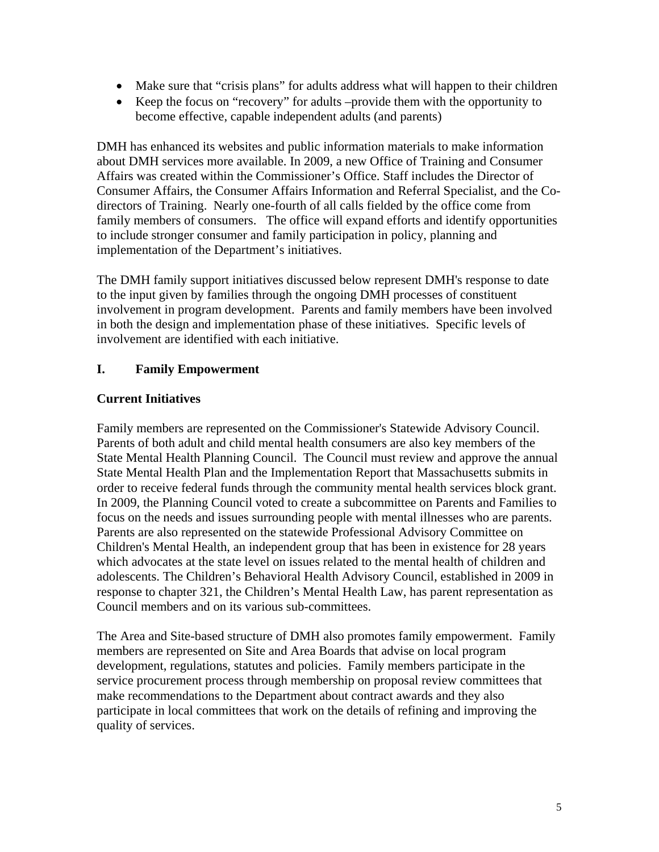- Make sure that "crisis plans" for adults address what will happen to their children
- Keep the focus on "recovery" for adults –provide them with the opportunity to become effective, capable independent adults (and parents)

DMH has enhanced its websites and public information materials to make information about DMH services more available. In 2009, a new Office of Training and Consumer Affairs was created within the Commissioner's Office. Staff includes the Director of Consumer Affairs, the Consumer Affairs Information and Referral Specialist, and the Codirectors of Training. Nearly one-fourth of all calls fielded by the office come from family members of consumers. The office will expand efforts and identify opportunities to include stronger consumer and family participation in policy, planning and implementation of the Department's initiatives.

The DMH family support initiatives discussed below represent DMH's response to date to the input given by families through the ongoing DMH processes of constituent involvement in program development. Parents and family members have been involved in both the design and implementation phase of these initiatives. Specific levels of involvement are identified with each initiative.

# **I. Family Empowerment**

## **Current Initiatives**

Family members are represented on the Commissioner's Statewide Advisory Council. Parents of both adult and child mental health consumers are also key members of the State Mental Health Planning Council. The Council must review and approve the annual State Mental Health Plan and the Implementation Report that Massachusetts submits in order to receive federal funds through the community mental health services block grant. In 2009, the Planning Council voted to create a subcommittee on Parents and Families to focus on the needs and issues surrounding people with mental illnesses who are parents. Parents are also represented on the statewide Professional Advisory Committee on Children's Mental Health, an independent group that has been in existence for 28 years which advocates at the state level on issues related to the mental health of children and adolescents. The Children's Behavioral Health Advisory Council, established in 2009 in response to chapter 321, the Children's Mental Health Law, has parent representation as Council members and on its various sub-committees.

The Area and Site-based structure of DMH also promotes family empowerment. Family members are represented on Site and Area Boards that advise on local program development, regulations, statutes and policies. Family members participate in the service procurement process through membership on proposal review committees that make recommendations to the Department about contract awards and they also participate in local committees that work on the details of refining and improving the quality of services.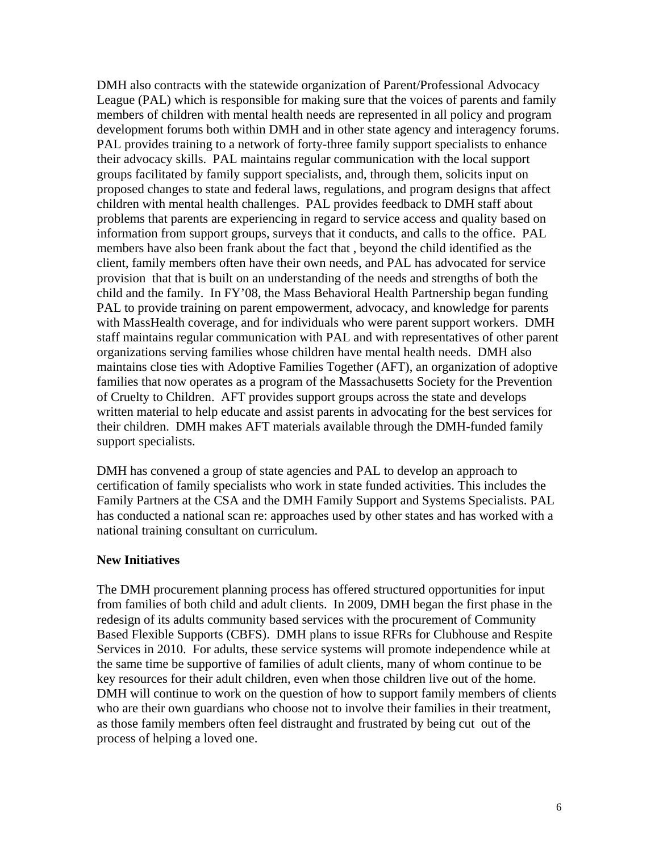DMH also contracts with the statewide organization of Parent/Professional Advocacy League (PAL) which is responsible for making sure that the voices of parents and family members of children with mental health needs are represented in all policy and program development forums both within DMH and in other state agency and interagency forums. PAL provides training to a network of forty-three family support specialists to enhance their advocacy skills. PAL maintains regular communication with the local support groups facilitated by family support specialists, and, through them, solicits input on proposed changes to state and federal laws, regulations, and program designs that affect children with mental health challenges. PAL provides feedback to DMH staff about problems that parents are experiencing in regard to service access and quality based on information from support groups, surveys that it conducts, and calls to the office. PAL members have also been frank about the fact that , beyond the child identified as the client, family members often have their own needs, and PAL has advocated for service provision that that is built on an understanding of the needs and strengths of both the child and the family. In FY'08, the Mass Behavioral Health Partnership began funding PAL to provide training on parent empowerment, advocacy, and knowledge for parents with MassHealth coverage, and for individuals who were parent support workers. DMH staff maintains regular communication with PAL and with representatives of other parent organizations serving families whose children have mental health needs. DMH also maintains close ties with Adoptive Families Together (AFT), an organization of adoptive families that now operates as a program of the Massachusetts Society for the Prevention of Cruelty to Children. AFT provides support groups across the state and develops written material to help educate and assist parents in advocating for the best services for their children. DMH makes AFT materials available through the DMH-funded family support specialists.

DMH has convened a group of state agencies and PAL to develop an approach to certification of family specialists who work in state funded activities. This includes the Family Partners at the CSA and the DMH Family Support and Systems Specialists. PAL has conducted a national scan re: approaches used by other states and has worked with a national training consultant on curriculum.

#### **New Initiatives**

The DMH procurement planning process has offered structured opportunities for input from families of both child and adult clients. In 2009, DMH began the first phase in the redesign of its adults community based services with the procurement of Community Based Flexible Supports (CBFS). DMH plans to issue RFRs for Clubhouse and Respite Services in 2010. For adults, these service systems will promote independence while at the same time be supportive of families of adult clients, many of whom continue to be key resources for their adult children, even when those children live out of the home. DMH will continue to work on the question of how to support family members of clients who are their own guardians who choose not to involve their families in their treatment, as those family members often feel distraught and frustrated by being cut out of the process of helping a loved one.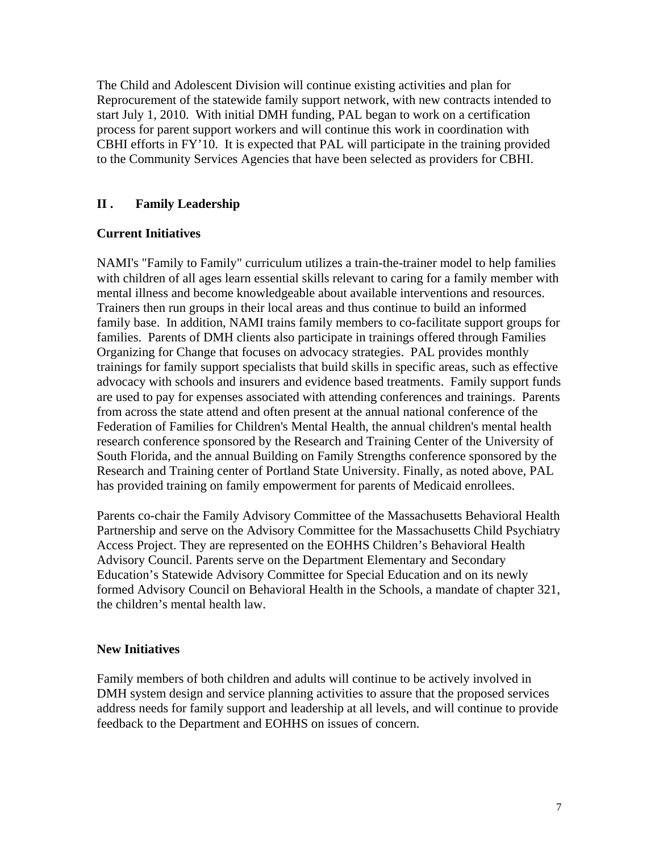The Child and Adolescent Division will continue existing activities and plan for Reprocurement of the statewide family support network, with new contracts intended to start July 1, 2010. With initial DMH funding, PAL began to work on a certification process for parent support workers and will continue this work in coordination with CBHI efforts in FY'10. It is expected that PAL will participate in the training provided to the Community Services Agencies that have been selected as providers for CBHI.

# **II . Family Leadership**

## **Current Initiatives**

NAMI's "Family to Family" curriculum utilizes a train-the-trainer model to help families with children of all ages learn essential skills relevant to caring for a family member with mental illness and become knowledgeable about available interventions and resources. Trainers then run groups in their local areas and thus continue to build an informed family base. In addition, NAMI trains family members to co-facilitate support groups for families. Parents of DMH clients also participate in trainings offered through Families Organizing for Change that focuses on advocacy strategies. PAL provides monthly trainings for family support specialists that build skills in specific areas, such as effective advocacy with schools and insurers and evidence based treatments. Family support funds are used to pay for expenses associated with attending conferences and trainings. Parents from across the state attend and often present at the annual national conference of the Federation of Families for Children's Mental Health, the annual children's mental health research conference sponsored by the Research and Training Center of the University of South Florida, and the annual Building on Family Strengths conference sponsored by the Research and Training center of Portland State University. Finally, as noted above, PAL has provided training on family empowerment for parents of Medicaid enrollees.

Parents co-chair the Family Advisory Committee of the Massachusetts Behavioral Health Partnership and serve on the Advisory Committee for the Massachusetts Child Psychiatry Access Project. They are represented on the EOHHS Children's Behavioral Health Advisory Council. Parents serve on the Department Elementary and Secondary Education's Statewide Advisory Committee for Special Education and on its newly formed Advisory Council on Behavioral Health in the Schools, a mandate of chapter 321, the children's mental health law.

## **New Initiatives**

Family members of both children and adults will continue to be actively involved in DMH system design and service planning activities to assure that the proposed services address needs for family support and leadership at all levels, and will continue to provide feedback to the Department and EOHHS on issues of concern.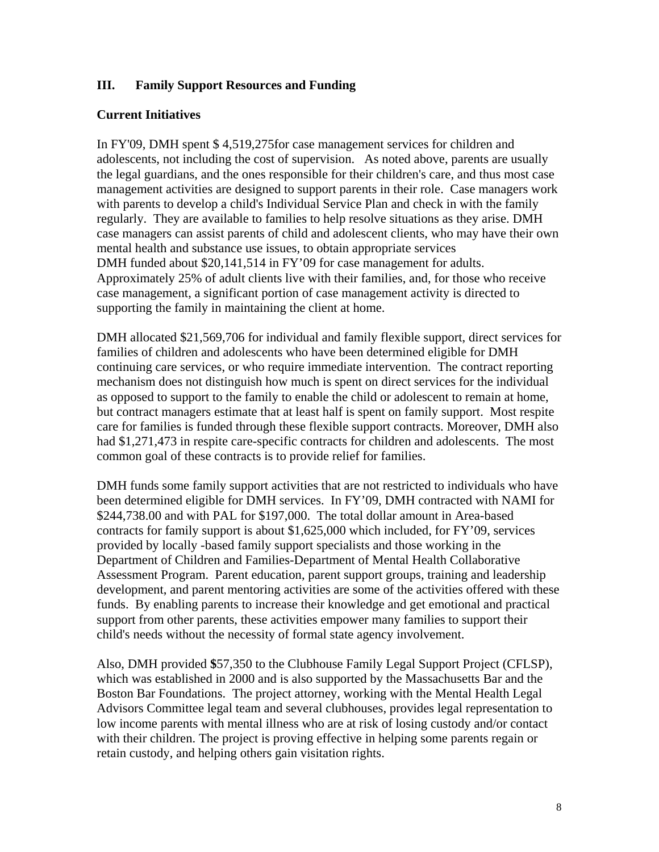# **III. Family Support Resources and Funding**

# **Current Initiatives**

In FY'09, DMH spent \$ 4,519,275for case management services for children and adolescents, not including the cost of supervision. As noted above, parents are usually the legal guardians, and the ones responsible for their children's care, and thus most case management activities are designed to support parents in their role. Case managers work with parents to develop a child's Individual Service Plan and check in with the family regularly. They are available to families to help resolve situations as they arise. DMH case managers can assist parents of child and adolescent clients, who may have their own mental health and substance use issues, to obtain appropriate services DMH funded about \$20,141,514 in FY'09 for case management for adults. Approximately 25% of adult clients live with their families, and, for those who receive case management, a significant portion of case management activity is directed to supporting the family in maintaining the client at home.

DMH allocated \$21,569,706 for individual and family flexible support, direct services for families of children and adolescents who have been determined eligible for DMH continuing care services, or who require immediate intervention. The contract reporting mechanism does not distinguish how much is spent on direct services for the individual as opposed to support to the family to enable the child or adolescent to remain at home, but contract managers estimate that at least half is spent on family support. Most respite care for families is funded through these flexible support contracts. Moreover, DMH also had \$1,271,473 in respite care-specific contracts for children and adolescents. The most common goal of these contracts is to provide relief for families.

DMH funds some family support activities that are not restricted to individuals who have been determined eligible for DMH services. In FY'09, DMH contracted with NAMI for \$244,738.00 and with PAL for \$197,000. The total dollar amount in Area-based contracts for family support is about \$1,625,000 which included, for FY'09, services provided by locally -based family support specialists and those working in the Department of Children and Families-Department of Mental Health Collaborative Assessment Program. Parent education, parent support groups, training and leadership development, and parent mentoring activities are some of the activities offered with these funds. By enabling parents to increase their knowledge and get emotional and practical support from other parents, these activities empower many families to support their child's needs without the necessity of formal state agency involvement.

Also, DMH provided **\$**57,350 to the Clubhouse Family Legal Support Project (CFLSP), which was established in 2000 and is also supported by the Massachusetts Bar and the Boston Bar Foundations. The project attorney, working with the Mental Health Legal Advisors Committee legal team and several clubhouses, provides legal representation to low income parents with mental illness who are at risk of losing custody and/or contact with their children. The project is proving effective in helping some parents regain or retain custody, and helping others gain visitation rights.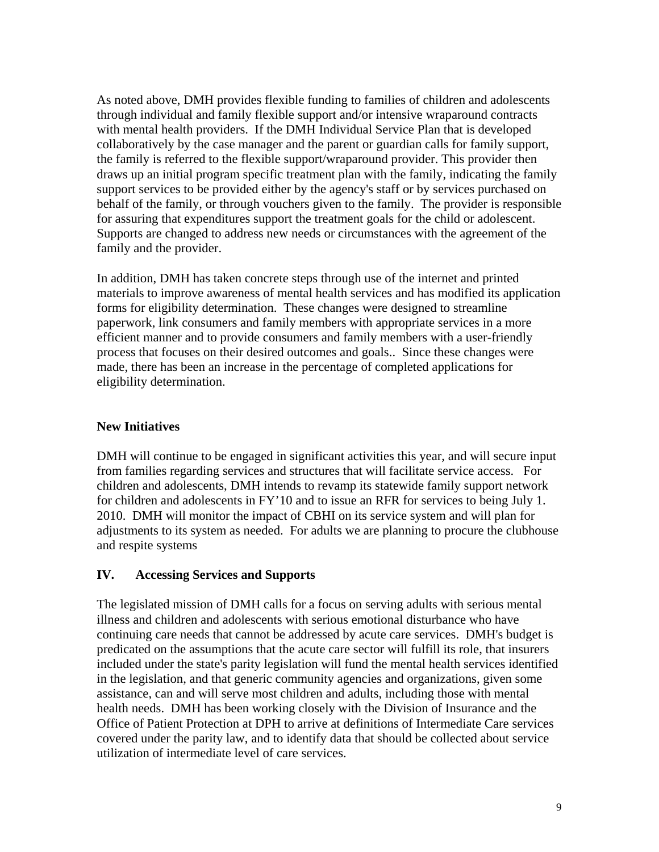As noted above, DMH provides flexible funding to families of children and adolescents through individual and family flexible support and/or intensive wraparound contracts with mental health providers. If the DMH Individual Service Plan that is developed collaboratively by the case manager and the parent or guardian calls for family support, the family is referred to the flexible support/wraparound provider. This provider then draws up an initial program specific treatment plan with the family, indicating the family support services to be provided either by the agency's staff or by services purchased on behalf of the family, or through vouchers given to the family. The provider is responsible for assuring that expenditures support the treatment goals for the child or adolescent. Supports are changed to address new needs or circumstances with the agreement of the family and the provider.

In addition, DMH has taken concrete steps through use of the internet and printed materials to improve awareness of mental health services and has modified its application forms for eligibility determination. These changes were designed to streamline paperwork, link consumers and family members with appropriate services in a more efficient manner and to provide consumers and family members with a user-friendly process that focuses on their desired outcomes and goals.. Since these changes were made, there has been an increase in the percentage of completed applications for eligibility determination.

# **New Initiatives**

DMH will continue to be engaged in significant activities this year, and will secure input from families regarding services and structures that will facilitate service access. For children and adolescents, DMH intends to revamp its statewide family support network for children and adolescents in FY'10 and to issue an RFR for services to being July 1. 2010. DMH will monitor the impact of CBHI on its service system and will plan for adjustments to its system as needed. For adults we are planning to procure the clubhouse and respite systems

## **IV. Accessing Services and Supports**

The legislated mission of DMH calls for a focus on serving adults with serious mental illness and children and adolescents with serious emotional disturbance who have continuing care needs that cannot be addressed by acute care services. DMH's budget is predicated on the assumptions that the acute care sector will fulfill its role, that insurers included under the state's parity legislation will fund the mental health services identified in the legislation, and that generic community agencies and organizations, given some assistance, can and will serve most children and adults, including those with mental health needs. DMH has been working closely with the Division of Insurance and the Office of Patient Protection at DPH to arrive at definitions of Intermediate Care services covered under the parity law, and to identify data that should be collected about service utilization of intermediate level of care services.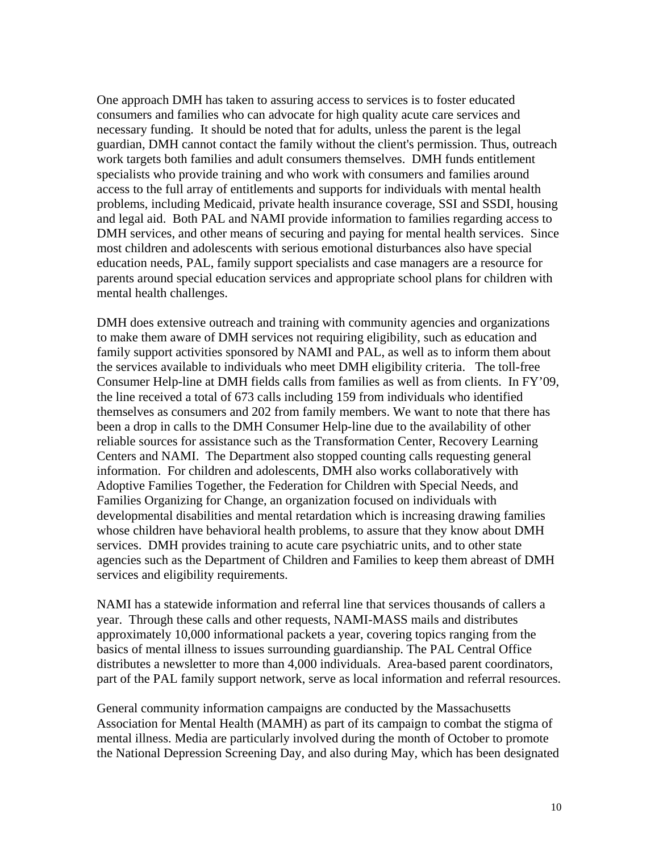One approach DMH has taken to assuring access to services is to foster educated consumers and families who can advocate for high quality acute care services and necessary funding. It should be noted that for adults, unless the parent is the legal guardian, DMH cannot contact the family without the client's permission. Thus, outreach work targets both families and adult consumers themselves. DMH funds entitlement specialists who provide training and who work with consumers and families around access to the full array of entitlements and supports for individuals with mental health problems, including Medicaid, private health insurance coverage, SSI and SSDI, housing and legal aid. Both PAL and NAMI provide information to families regarding access to DMH services, and other means of securing and paying for mental health services. Since most children and adolescents with serious emotional disturbances also have special education needs, PAL, family support specialists and case managers are a resource for parents around special education services and appropriate school plans for children with mental health challenges.

DMH does extensive outreach and training with community agencies and organizations to make them aware of DMH services not requiring eligibility, such as education and family support activities sponsored by NAMI and PAL, as well as to inform them about the services available to individuals who meet DMH eligibility criteria. The toll-free Consumer Help-line at DMH fields calls from families as well as from clients. In FY'09, the line received a total of 673 calls including 159 from individuals who identified themselves as consumers and 202 from family members. We want to note that there has been a drop in calls to the DMH Consumer Help-line due to the availability of other reliable sources for assistance such as the Transformation Center, Recovery Learning Centers and NAMI. The Department also stopped counting calls requesting general information. For children and adolescents, DMH also works collaboratively with Adoptive Families Together, the Federation for Children with Special Needs, and Families Organizing for Change, an organization focused on individuals with developmental disabilities and mental retardation which is increasing drawing families whose children have behavioral health problems, to assure that they know about DMH services. DMH provides training to acute care psychiatric units, and to other state agencies such as the Department of Children and Families to keep them abreast of DMH services and eligibility requirements.

NAMI has a statewide information and referral line that services thousands of callers a year. Through these calls and other requests, NAMI-MASS mails and distributes approximately 10,000 informational packets a year, covering topics ranging from the basics of mental illness to issues surrounding guardianship. The PAL Central Office distributes a newsletter to more than 4,000 individuals. Area-based parent coordinators, part of the PAL family support network, serve as local information and referral resources.

General community information campaigns are conducted by the Massachusetts Association for Mental Health (MAMH) as part of its campaign to combat the stigma of mental illness. Media are particularly involved during the month of October to promote the National Depression Screening Day, and also during May, which has been designated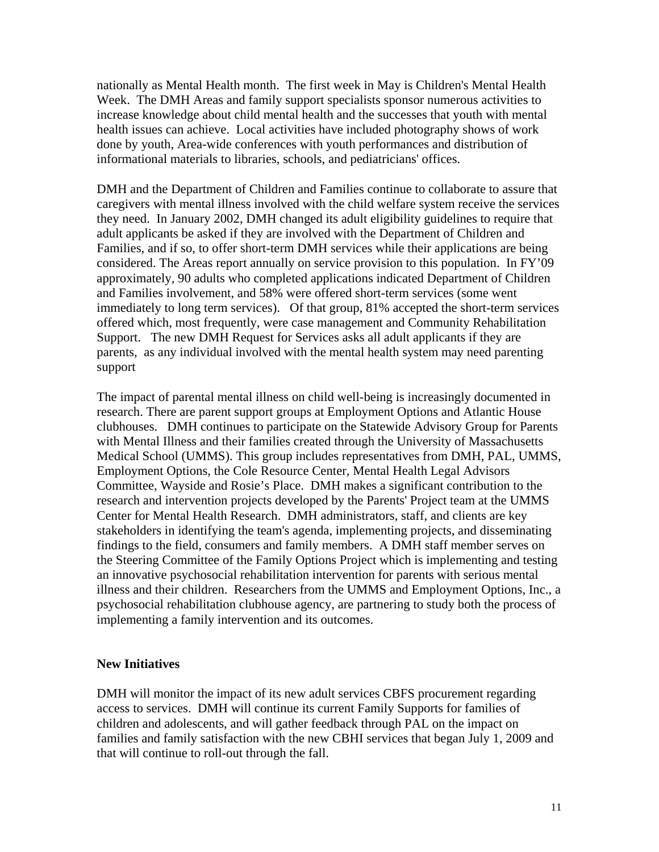nationally as Mental Health month. The first week in May is Children's Mental Health Week. The DMH Areas and family support specialists sponsor numerous activities to increase knowledge about child mental health and the successes that youth with mental health issues can achieve. Local activities have included photography shows of work done by youth, Area-wide conferences with youth performances and distribution of informational materials to libraries, schools, and pediatricians' offices.

DMH and the Department of Children and Families continue to collaborate to assure that caregivers with mental illness involved with the child welfare system receive the services they need. In January 2002, DMH changed its adult eligibility guidelines to require that adult applicants be asked if they are involved with the Department of Children and Families, and if so, to offer short-term DMH services while their applications are being considered. The Areas report annually on service provision to this population. In FY'09 approximately, 90 adults who completed applications indicated Department of Children and Families involvement, and 58% were offered short-term services (some went immediately to long term services). Of that group, 81% accepted the short-term services offered which, most frequently, were case management and Community Rehabilitation Support. The new DMH Request for Services asks all adult applicants if they are parents, as any individual involved with the mental health system may need parenting support

The impact of parental mental illness on child well-being is increasingly documented in research. There are parent support groups at Employment Options and Atlantic House clubhouses. DMH continues to participate on the Statewide Advisory Group for Parents with Mental Illness and their families created through the University of Massachusetts Medical School (UMMS). This group includes representatives from DMH, PAL, UMMS, Employment Options, the Cole Resource Center, Mental Health Legal Advisors Committee, Wayside and Rosie's Place. DMH makes a significant contribution to the research and intervention projects developed by the Parents' Project team at the UMMS Center for Mental Health Research. DMH administrators, staff, and clients are key stakeholders in identifying the team's agenda, implementing projects, and disseminating findings to the field, consumers and family members. A DMH staff member serves on the Steering Committee of the Family Options Project which is implementing and testing an innovative psychosocial rehabilitation intervention for parents with serious mental illness and their children. Researchers from the UMMS and Employment Options, Inc., a psychosocial rehabilitation clubhouse agency, are partnering to study both the process of implementing a family intervention and its outcomes.

#### **New Initiatives**

DMH will monitor the impact of its new adult services CBFS procurement regarding access to services. DMH will continue its current Family Supports for families of children and adolescents, and will gather feedback through PAL on the impact on families and family satisfaction with the new CBHI services that began July 1, 2009 and that will continue to roll-out through the fall.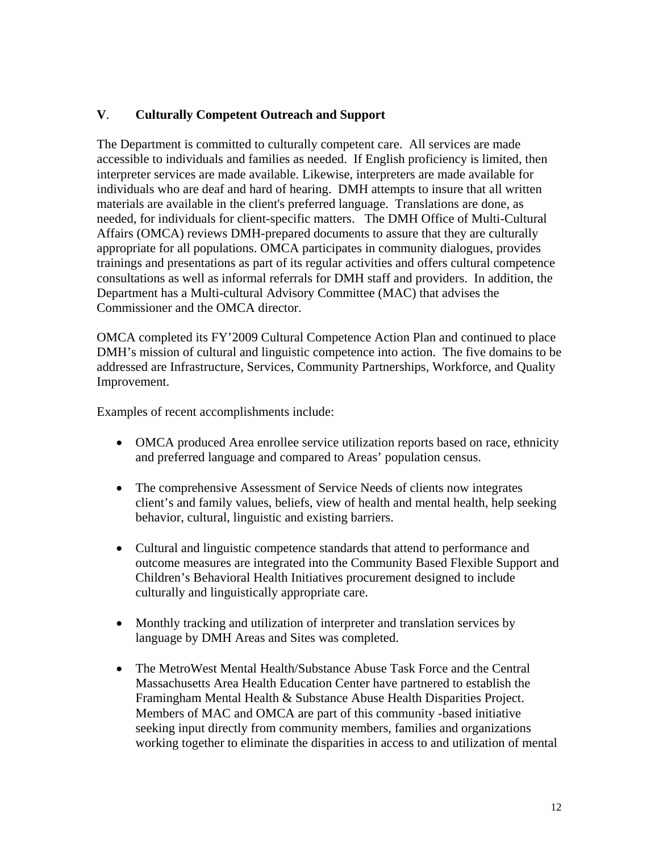# **V**. **Culturally Competent Outreach and Support**

The Department is committed to culturally competent care. All services are made accessible to individuals and families as needed. If English proficiency is limited, then interpreter services are made available. Likewise, interpreters are made available for individuals who are deaf and hard of hearing. DMH attempts to insure that all written materials are available in the client's preferred language. Translations are done, as needed, for individuals for client-specific matters. The DMH Office of Multi-Cultural Affairs (OMCA) reviews DMH-prepared documents to assure that they are culturally appropriate for all populations. OMCA participates in community dialogues, provides trainings and presentations as part of its regular activities and offers cultural competence consultations as well as informal referrals for DMH staff and providers. In addition, the Department has a Multi-cultural Advisory Committee (MAC) that advises the Commissioner and the OMCA director.

OMCA completed its FY'2009 Cultural Competence Action Plan and continued to place DMH's mission of cultural and linguistic competence into action. The five domains to be addressed are Infrastructure, Services, Community Partnerships, Workforce, and Quality Improvement.

Examples of recent accomplishments include:

- OMCA produced Area enrollee service utilization reports based on race, ethnicity and preferred language and compared to Areas' population census.
- The comprehensive Assessment of Service Needs of clients now integrates client's and family values, beliefs, view of health and mental health, help seeking behavior, cultural, linguistic and existing barriers.
- Cultural and linguistic competence standards that attend to performance and outcome measures are integrated into the Community Based Flexible Support and Children's Behavioral Health Initiatives procurement designed to include culturally and linguistically appropriate care.
- Monthly tracking and utilization of interpreter and translation services by language by DMH Areas and Sites was completed.
- The MetroWest Mental Health/Substance Abuse Task Force and the Central Massachusetts Area Health Education Center have partnered to establish the Framingham Mental Health & Substance Abuse Health Disparities Project. Members of MAC and OMCA are part of this community -based initiative seeking input directly from community members, families and organizations working together to eliminate the disparities in access to and utilization of mental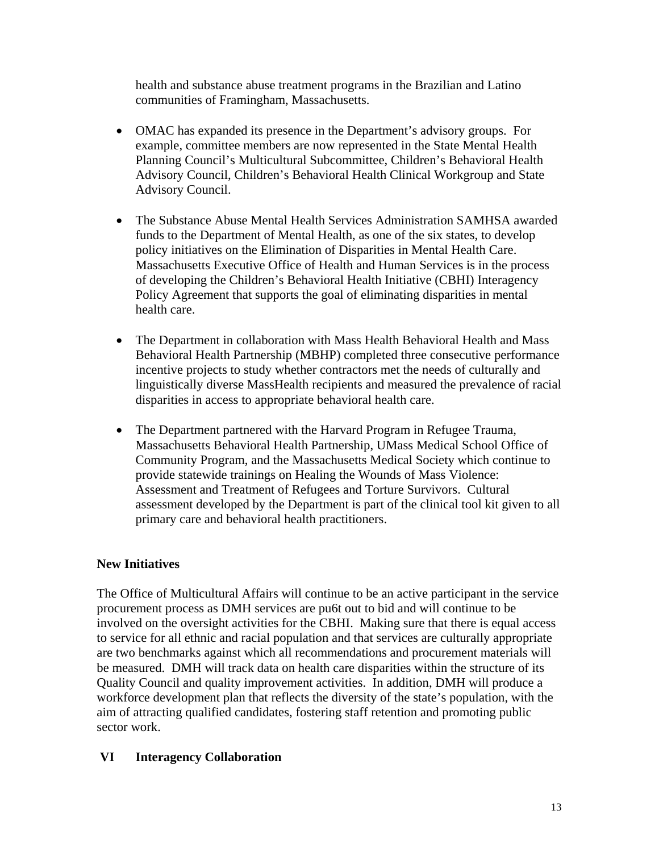health and substance abuse treatment programs in the Brazilian and Latino communities of Framingham, Massachusetts.

- OMAC has expanded its presence in the Department's advisory groups. For example, committee members are now represented in the State Mental Health Planning Council's Multicultural Subcommittee, Children's Behavioral Health Advisory Council, Children's Behavioral Health Clinical Workgroup and State Advisory Council.
- The Substance Abuse Mental Health Services Administration SAMHSA awarded funds to the Department of Mental Health, as one of the six states, to develop policy initiatives on the Elimination of Disparities in Mental Health Care. Massachusetts Executive Office of Health and Human Services is in the process of developing the Children's Behavioral Health Initiative (CBHI) Interagency Policy Agreement that supports the goal of eliminating disparities in mental health care.
- The Department in collaboration with Mass Health Behavioral Health and Mass Behavioral Health Partnership (MBHP) completed three consecutive performance incentive projects to study whether contractors met the needs of culturally and linguistically diverse MassHealth recipients and measured the prevalence of racial disparities in access to appropriate behavioral health care.
- The Department partnered with the Harvard Program in Refugee Trauma, Massachusetts Behavioral Health Partnership, UMass Medical School Office of Community Program, and the Massachusetts Medical Society which continue to provide statewide trainings on Healing the Wounds of Mass Violence: Assessment and Treatment of Refugees and Torture Survivors. Cultural assessment developed by the Department is part of the clinical tool kit given to all primary care and behavioral health practitioners.

## **New Initiatives**

The Office of Multicultural Affairs will continue to be an active participant in the service procurement process as DMH services are pu6t out to bid and will continue to be involved on the oversight activities for the CBHI. Making sure that there is equal access to service for all ethnic and racial population and that services are culturally appropriate are two benchmarks against which all recommendations and procurement materials will be measured. DMH will track data on health care disparities within the structure of its Quality Council and quality improvement activities. In addition, DMH will produce a workforce development plan that reflects the diversity of the state's population, with the aim of attracting qualified candidates, fostering staff retention and promoting public sector work.

## **VI Interagency Collaboration**